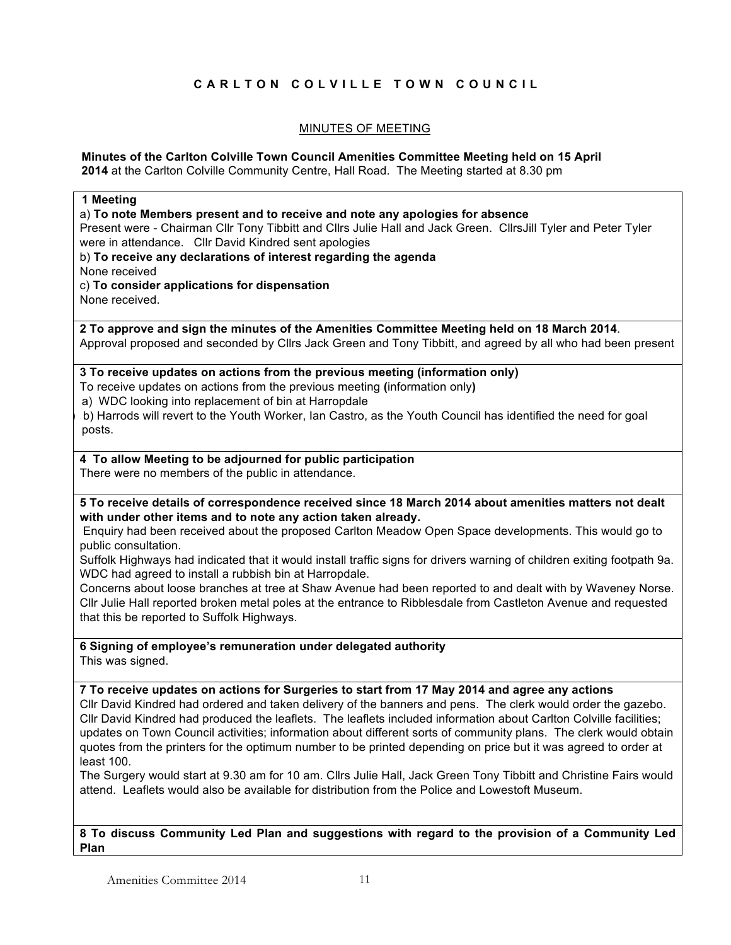# **CARLTON COLVILLE TOWN COUNCIL**

## MINUTES OF MEETING

#### **Minutes of the Carlton Colville Town Council Amenities Committee Meeting held on 15 April 2014** at the Carlton Colville Community Centre, Hall Road. The Meeting started at 8.30 pm

| 1 Meeting                                                                                                                                                             |
|-----------------------------------------------------------------------------------------------------------------------------------------------------------------------|
| a) To note Members present and to receive and note any apologies for absence                                                                                          |
| Present were - Chairman Cllr Tony Tibbitt and Cllrs Julie Hall and Jack Green. CllrsJill Tyler and Peter Tyler                                                        |
| were in attendance. Cllr David Kindred sent apologies                                                                                                                 |
| b) To receive any declarations of interest regarding the agenda                                                                                                       |
| None received                                                                                                                                                         |
| c) To consider applications for dispensation                                                                                                                          |
| None received.                                                                                                                                                        |
|                                                                                                                                                                       |
| 2 To approve and sign the minutes of the Amenities Committee Meeting held on 18 March 2014.                                                                           |
| Approval proposed and seconded by Cllrs Jack Green and Tony Tibbitt, and agreed by all who had been present                                                           |
|                                                                                                                                                                       |
| 3 To receive updates on actions from the previous meeting (information only)                                                                                          |
| To receive updates on actions from the previous meeting (information only)                                                                                            |
| a) WDC looking into replacement of bin at Harropdale                                                                                                                  |
| b) Harrods will revert to the Youth Worker, Ian Castro, as the Youth Council has identified the need for goal                                                         |
| posts.                                                                                                                                                                |
|                                                                                                                                                                       |
| 4 To allow Meeting to be adjourned for public participation                                                                                                           |
| There were no members of the public in attendance.                                                                                                                    |
|                                                                                                                                                                       |
| 5 To receive details of correspondence received since 18 March 2014 about amenities matters not dealt<br>with under other items and to note any action taken already. |
| Enquiry had been received about the proposed Carlton Meadow Open Space developments. This would go to                                                                 |
| public consultation.                                                                                                                                                  |
| Suffolk Highways had indicated that it would install traffic signs for drivers warning of children exiting footpath 9a.                                               |
| WDC had agreed to install a rubbish bin at Harropdale.                                                                                                                |
| Concerns about loose branches at tree at Shaw Avenue had been reported to and dealt with by Waveney Norse.                                                            |
|                                                                                                                                                                       |
| Cllr Julie Hall reported broken metal poles at the entrance to Ribblesdale from Castleton Avenue and requested                                                        |
| that this be reported to Suffolk Highways.                                                                                                                            |
|                                                                                                                                                                       |
| 6 Signing of employee's remuneration under delegated authority                                                                                                        |
| This was signed.                                                                                                                                                      |
| 7 To receive updates on actions for Surgeries to start from 17 May 2014 and agree any actions                                                                         |
|                                                                                                                                                                       |
| Cllr David Kindred had ordered and taken delivery of the banners and pens. The clerk would order the gazebo.                                                          |
| CIIr David Kindred had produced the leaflets. The leaflets included information about Carlton Colville facilities;                                                    |
| updates on Town Council activities; information about different sorts of community plans. The clerk would obtain                                                      |
| quotes from the printers for the optimum number to be printed depending on price but it was agreed to order at                                                        |
| least 100.                                                                                                                                                            |
| The Surgery would start at 9.30 am for 10 am. Cllrs Julie Hall, Jack Green Tony Tibbitt and Christine Fairs would                                                     |
| attend. Leaflets would also be available for distribution from the Police and Lowestoft Museum.                                                                       |
|                                                                                                                                                                       |
|                                                                                                                                                                       |
| 8 To discuss Community Led Plan and suggestions with regard to the provision of a Community Led                                                                       |
| Plan                                                                                                                                                                  |